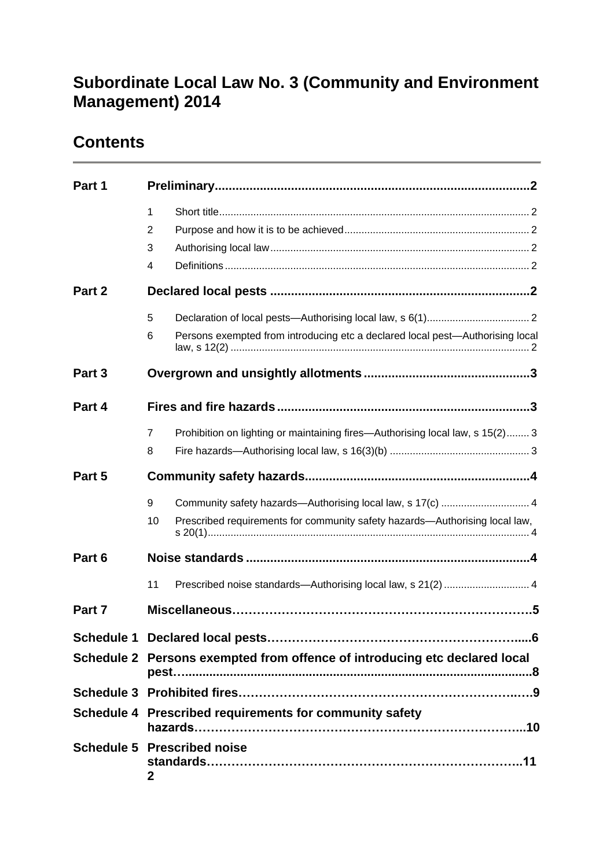### **Subordinate Local Law No. 3 (Community and Environment Management) 2014**

### **Contents**

| Part 1 |                                                                            |                                                                               |
|--------|----------------------------------------------------------------------------|-------------------------------------------------------------------------------|
|        | $\mathbf{1}$<br>2                                                          |                                                                               |
|        | 3<br>4                                                                     |                                                                               |
| Part 2 |                                                                            |                                                                               |
|        | 5                                                                          |                                                                               |
|        | 6                                                                          | Persons exempted from introducing etc a declared local pest—Authorising local |
| Part 3 |                                                                            |                                                                               |
| Part 4 |                                                                            |                                                                               |
|        | $\overline{7}$<br>8                                                        | Prohibition on lighting or maintaining fires—Authorising local law, s 15(2) 3 |
| Part 5 |                                                                            |                                                                               |
|        | 9                                                                          | Community safety hazards-Authorising local law, s 17(c)  4                    |
|        | 10                                                                         | Prescribed requirements for community safety hazards-Authorising local law,   |
| Part 6 |                                                                            |                                                                               |
|        | 11                                                                         | Prescribed noise standards-Authorising local law, s 21(2)  4                  |
| Part 7 |                                                                            |                                                                               |
|        |                                                                            |                                                                               |
|        | Schedule 2 Persons exempted from offence of introducing etc declared local |                                                                               |
|        |                                                                            |                                                                               |
|        | Schedule 4 Prescribed requirements for community safety                    |                                                                               |
|        | $\mathbf{2}$                                                               | <b>Schedule 5 Prescribed noise</b>                                            |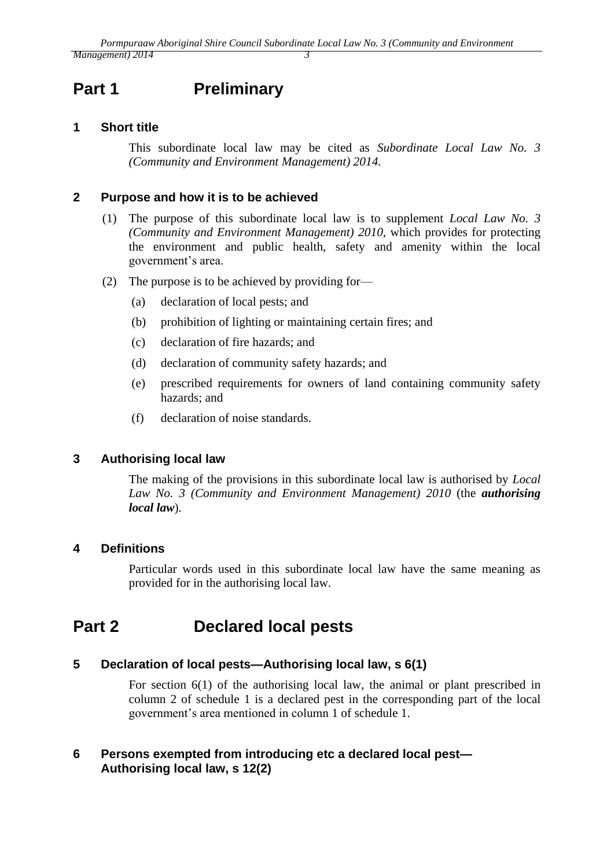# <span id="page-2-0"></span>**Part 1 Preliminary**

#### <span id="page-2-1"></span>**1 Short title**

This subordinate local law may be cited as *Subordinate Local Law No. 3 (Community and Environment Management) 2014.*

#### <span id="page-2-2"></span>**2 Purpose and how it is to be achieved**

- (1) The purpose of this subordinate local law is to supplement *Local Law No. 3 (Community and Environment Management) 2010*, which provides for protecting the environment and public health, safety and amenity within the local government's area.
- (2) The purpose is to be achieved by providing for—
	- (a) declaration of local pests; and
	- (b) prohibition of lighting or maintaining certain fires; and
	- (c) declaration of fire hazards; and
	- (d) declaration of community safety hazards; and
	- (e) prescribed requirements for owners of land containing community safety hazards; and
	- (f) declaration of noise standards.

#### <span id="page-2-3"></span>**3 Authorising local law**

The making of the provisions in this subordinate local law is authorised by *Local Law No. 3 (Community and Environment Management) 2010* (the *authorising local law*)*.*

#### <span id="page-2-4"></span>**4 Definitions**

Particular words used in this subordinate local law have the same meaning as provided for in the authorising local law.

### <span id="page-2-5"></span>**Part 2 Declared local pests**

#### <span id="page-2-6"></span>**5 Declaration of local pests—Authorising local law, s 6(1)**

For section 6(1) of the authorising local law, the animal or plant prescribed in column 2 of schedule 1 is a declared pest in the corresponding part of the local government's area mentioned in column 1 of schedule 1.

#### <span id="page-2-7"></span>**6 Persons exempted from introducing etc a declared local pest— Authorising local law, s 12(2)**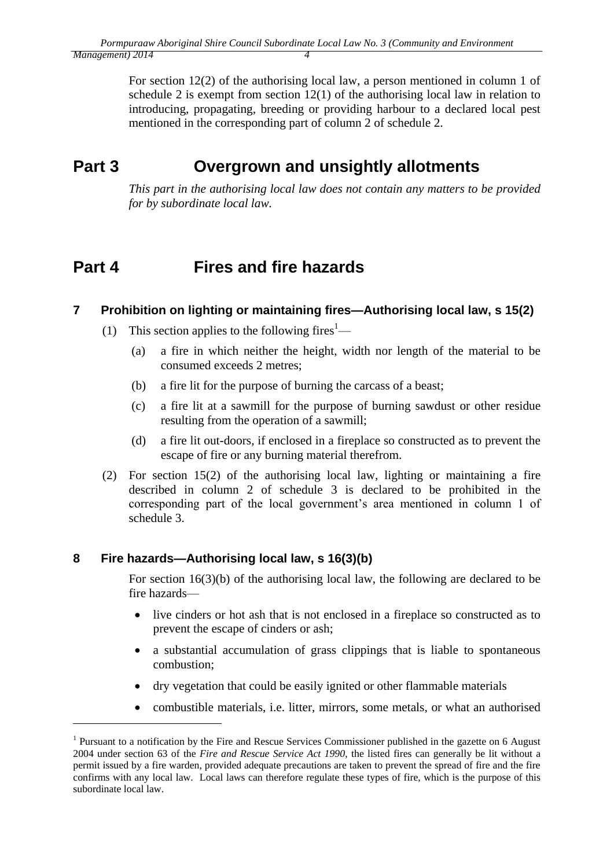For section 12(2) of the authorising local law, a person mentioned in column 1 of schedule 2 is exempt from section 12(1) of the authorising local law in relation to introducing, propagating, breeding or providing harbour to a declared local pest mentioned in the corresponding part of column 2 of schedule 2.

# <span id="page-3-0"></span>**Part 3 Overgrown and unsightly allotments**

*This part in the authorising local law does not contain any matters to be provided for by subordinate local law.*

# <span id="page-3-1"></span>**Part 4 Fires and fire hazards**

#### <span id="page-3-2"></span>**7 Prohibition on lighting or maintaining fires—Authorising local law, s 15(2)**

- (1) This section applies to the following fires<sup>1</sup>—
	- (a) a fire in which neither the height, width nor length of the material to be consumed exceeds 2 metres;
	- (b) a fire lit for the purpose of burning the carcass of a beast;
	- (c) a fire lit at a sawmill for the purpose of burning sawdust or other residue resulting from the operation of a sawmill;
	- (d) a fire lit out-doors, if enclosed in a fireplace so constructed as to prevent the escape of fire or any burning material therefrom.
- (2) For section 15(2) of the authorising local law, lighting or maintaining a fire described in column 2 of schedule 3 is declared to be prohibited in the corresponding part of the local government's area mentioned in column 1 of schedule 3.

#### <span id="page-3-3"></span>**8 Fire hazards—Authorising local law, s 16(3)(b)**

1

For section 16(3)(b) of the authorising local law, the following are declared to be fire hazards—

- live cinders or hot ash that is not enclosed in a fireplace so constructed as to prevent the escape of cinders or ash;
- a substantial accumulation of grass clippings that is liable to spontaneous combustion;
- dry vegetation that could be easily ignited or other flammable materials
- combustible materials, i.e. litter, mirrors, some metals, or what an authorised

<sup>&</sup>lt;sup>1</sup> Pursuant to a notification by the Fire and Rescue Services Commissioner published in the gazette on 6 August 2004 under section 63 of the *Fire and Rescue Service Act 1990*, the listed fires can generally be lit without a permit issued by a fire warden, provided adequate precautions are taken to prevent the spread of fire and the fire confirms with any local law. Local laws can therefore regulate these types of fire, which is the purpose of this subordinate local law.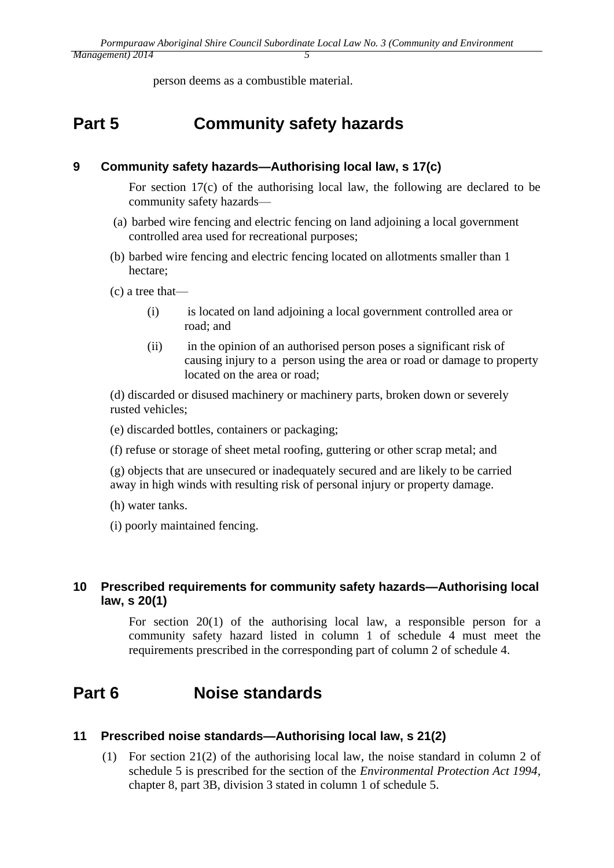person deems as a combustible material.

# <span id="page-4-0"></span>**Part 5 Community safety hazards**

#### <span id="page-4-1"></span>**9 Community safety hazards—Authorising local law, s 17(c)**

For section 17(c) of the authorising local law, the following are declared to be community safety hazards—

- (a) barbed wire fencing and electric fencing on land adjoining a local government controlled area used for recreational purposes;
- (b) barbed wire fencing and electric fencing located on allotments smaller than 1 hectare;

(c) a tree that—

- (i) is located on land adjoining a local government controlled area or road; and
- (ii) in the opinion of an authorised person poses a significant risk of causing injury to a person using the area or road or damage to property located on the area or road;

(d) discarded or disused machinery or machinery parts, broken down or severely rusted vehicles;

(e) discarded bottles, containers or packaging;

(f) refuse or storage of sheet metal roofing, guttering or other scrap metal; and

(g) objects that are unsecured or inadequately secured and are likely to be carried away in high winds with resulting risk of personal injury or property damage.

(h) water tanks.

(i) poorly maintained fencing.

#### <span id="page-4-2"></span>**10 Prescribed requirements for community safety hazards—Authorising local law, s 20(1)**

For section 20(1) of the authorising local law, a responsible person for a community safety hazard listed in column 1 of schedule 4 must meet the requirements prescribed in the corresponding part of column 2 of schedule 4.

## <span id="page-4-3"></span>**Part 6 Noise standards**

#### <span id="page-4-4"></span>**11 Prescribed noise standards—Authorising local law, s 21(2)**

(1) For section 21(2) of the authorising local law, the noise standard in column 2 of schedule 5 is prescribed for the section of the *Environmental Protection Act 1994*, chapter 8, part 3B, division 3 stated in column 1 of schedule 5.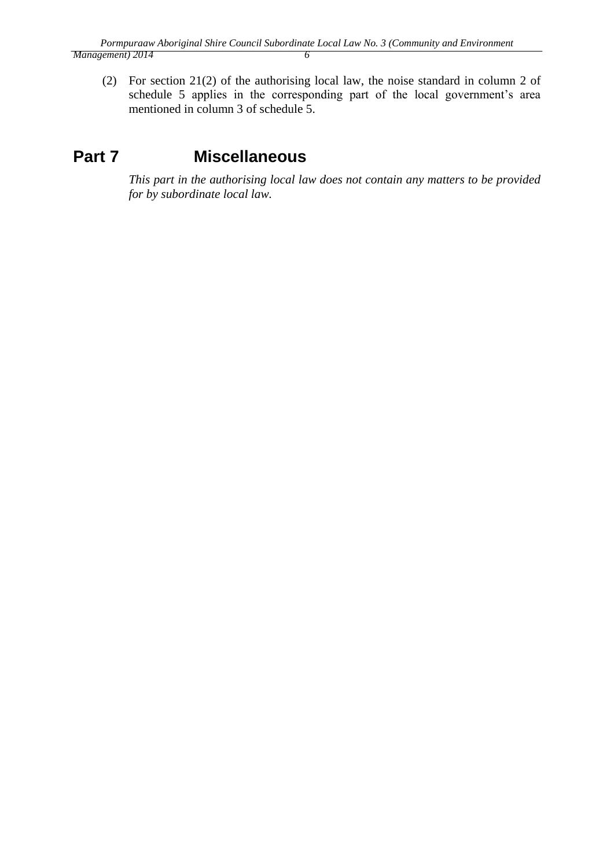(2) For section 21(2) of the authorising local law, the noise standard in column 2 of schedule 5 applies in the corresponding part of the local government's area mentioned in column 3 of schedule 5.

# **Part 7 Miscellaneous**

*This part in the authorising local law does not contain any matters to be provided for by subordinate local law.*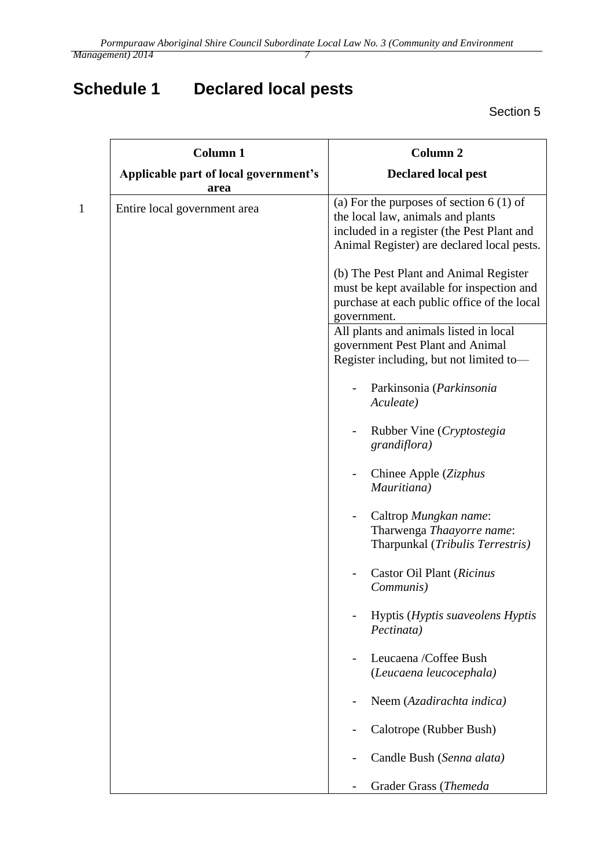# **Schedule 1 Declared local pests**

Section 5

| <b>Column 1</b><br>Applicable part of local government's | Column <sub>2</sub><br><b>Declared local pest</b>                                                                                                                          |
|----------------------------------------------------------|----------------------------------------------------------------------------------------------------------------------------------------------------------------------------|
| area<br>Entire local government area                     | (a) For the purposes of section $6(1)$ of<br>the local law, animals and plants<br>included in a register (the Pest Plant and<br>Animal Register) are declared local pests. |
|                                                          | (b) The Pest Plant and Animal Register<br>must be kept available for inspection and<br>purchase at each public office of the local<br>government.                          |
|                                                          | All plants and animals listed in local<br>government Pest Plant and Animal<br>Register including, but not limited to-                                                      |
|                                                          | Parkinsonia (Parkinsonia<br>Aculeate)                                                                                                                                      |
|                                                          | Rubber Vine (Cryptostegia<br>grandiflora)                                                                                                                                  |
|                                                          | Chinee Apple (Zizphus<br>Mauritiana)                                                                                                                                       |
|                                                          | Caltrop Mungkan name:<br>Tharwenga Thaayorre name:<br>Tharpunkal (Tribulis Terrestris)                                                                                     |
|                                                          | Castor Oil Plant (Ricinus<br>Communis)                                                                                                                                     |
|                                                          | Hyptis ( <i>Hyptis suaveolens Hyptis</i><br>Pectinata)                                                                                                                     |
|                                                          | Leucaena /Coffee Bush<br>(Leucaena leucocephala)                                                                                                                           |
|                                                          | Neem (Azadirachta indica)                                                                                                                                                  |
|                                                          | Calotrope (Rubber Bush)                                                                                                                                                    |
|                                                          | Candle Bush (Senna alata)                                                                                                                                                  |
|                                                          | Grader Grass (Themeda                                                                                                                                                      |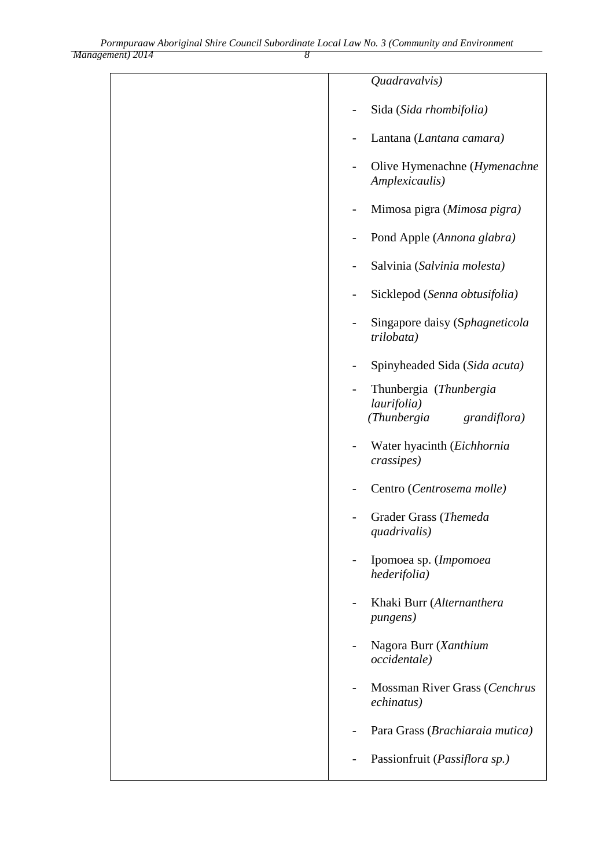| Management) 2014 |  |  |
|------------------|--|--|

| Quadravalvis)                                                                                    |
|--------------------------------------------------------------------------------------------------|
| Sida (Sida rhombifolia)                                                                          |
| Lantana (Lantana camara)                                                                         |
| Olive Hymenachne (Hymenachne<br>Amplexicaulis)                                                   |
| Mimosa pigra (Mimosa pigra)                                                                      |
| Pond Apple (Annona glabra)                                                                       |
| Salvinia (Salvinia molesta)                                                                      |
| Sicklepod (Senna obtusifolia)                                                                    |
| Singapore daisy (Sphagneticola<br>trilobata)                                                     |
| Spinyheaded Sida (Sida acuta)                                                                    |
| Thunbergia (Thunbergia<br>$\overline{\phantom{0}}$<br>laurifolia)<br>(Thunbergia<br>grandiflora) |
| Water hyacinth (Eichhornia<br>crassipes)                                                         |
| Centro (Centrosema molle)                                                                        |
| Grader Grass (Themeda<br>quadrivalis)                                                            |
| Ipomoea sp. (Impomoea<br>hederifolia)                                                            |
| Khaki Burr (Alternanthera<br><i>pungens</i> )                                                    |
| Nagora Burr (Xanthium<br>occidentale)                                                            |
| Mossman River Grass (Cenchrus<br>echinatus)                                                      |
| Para Grass (Brachiaraia mutica)                                                                  |
| Passionfruit (Passiflora sp.)                                                                    |
|                                                                                                  |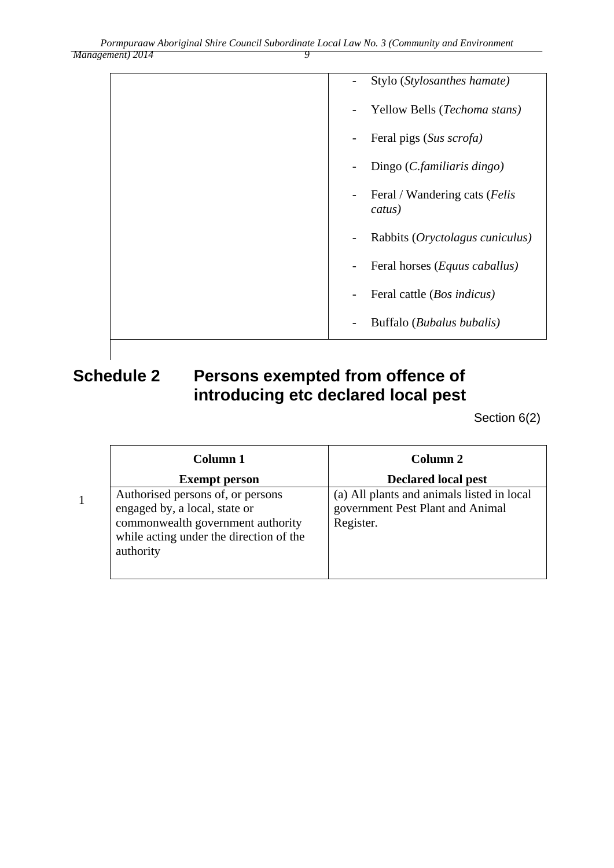| Stylo (Stylosanthes hamate)<br>$\overline{\phantom{a}}$              |
|----------------------------------------------------------------------|
| Yellow Bells (Techoma stans)                                         |
| Feral pigs (Sus scrofa)                                              |
| Dingo (C.familiaris dingo)                                           |
| Feral / Wandering cats ( <i>Felis</i><br>$\qquad \qquad -$<br>catus) |
| Rabbits (Oryctolagus cuniculus)<br>$\overline{\phantom{0}}$          |
| Feral horses ( <i>Equus caballus</i> )                               |
| Feral cattle ( <i>Bos indicus</i> )                                  |
| Buffalo (Bubalus bubalis)                                            |

## **Schedule 2 Persons exempted from offence of introducing etc declared local pest**

1

Section 6(2)

| Column 1                                                                                                                                                        | Column 2                                                                                    |
|-----------------------------------------------------------------------------------------------------------------------------------------------------------------|---------------------------------------------------------------------------------------------|
| <b>Exempt person</b>                                                                                                                                            | <b>Declared local pest</b>                                                                  |
| Authorised persons of, or persons<br>engaged by, a local, state or<br>commonwealth government authority<br>while acting under the direction of the<br>authority | (a) All plants and animals listed in local<br>government Pest Plant and Animal<br>Register. |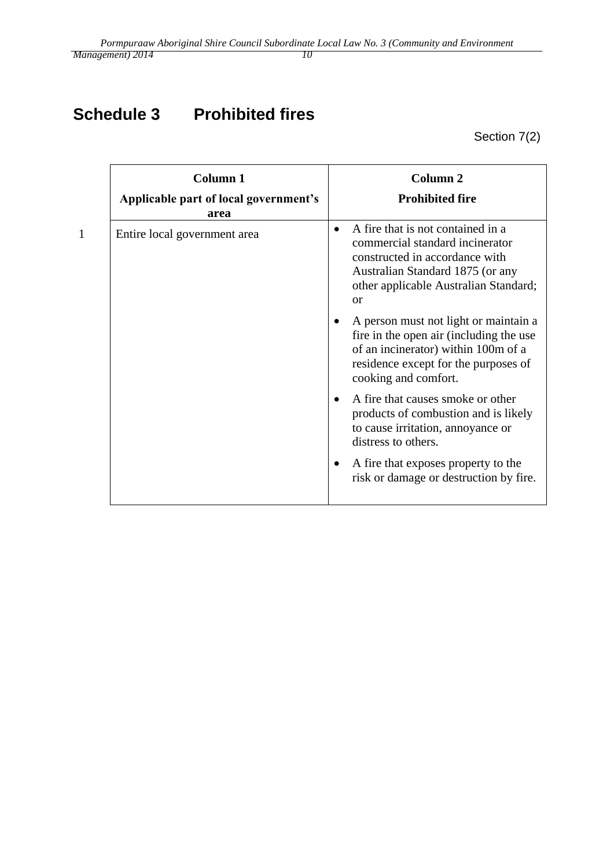# **Schedule 3 Prohibited fires**

Section 7(2)

|              | <b>Column 1</b><br>Applicable part of local government's | <b>Column 2</b><br><b>Prohibited fire</b>                                                                                                                                                                                                                                                                                                                                                                                                                                                                                                                                                                                   |
|--------------|----------------------------------------------------------|-----------------------------------------------------------------------------------------------------------------------------------------------------------------------------------------------------------------------------------------------------------------------------------------------------------------------------------------------------------------------------------------------------------------------------------------------------------------------------------------------------------------------------------------------------------------------------------------------------------------------------|
|              | area                                                     |                                                                                                                                                                                                                                                                                                                                                                                                                                                                                                                                                                                                                             |
| $\mathbf{1}$ | Entire local government area                             | A fire that is not contained in a<br>$\bullet$<br>commercial standard incinerator<br>constructed in accordance with<br>Australian Standard 1875 (or any<br>other applicable Australian Standard;<br>or<br>A person must not light or maintain a<br>fire in the open air (including the use<br>of an incinerator) within 100m of a<br>residence except for the purposes of<br>cooking and comfort.<br>A fire that causes smoke or other<br>products of combustion and is likely<br>to cause irritation, annoyance or<br>distress to others.<br>A fire that exposes property to the<br>risk or damage or destruction by fire. |
|              |                                                          |                                                                                                                                                                                                                                                                                                                                                                                                                                                                                                                                                                                                                             |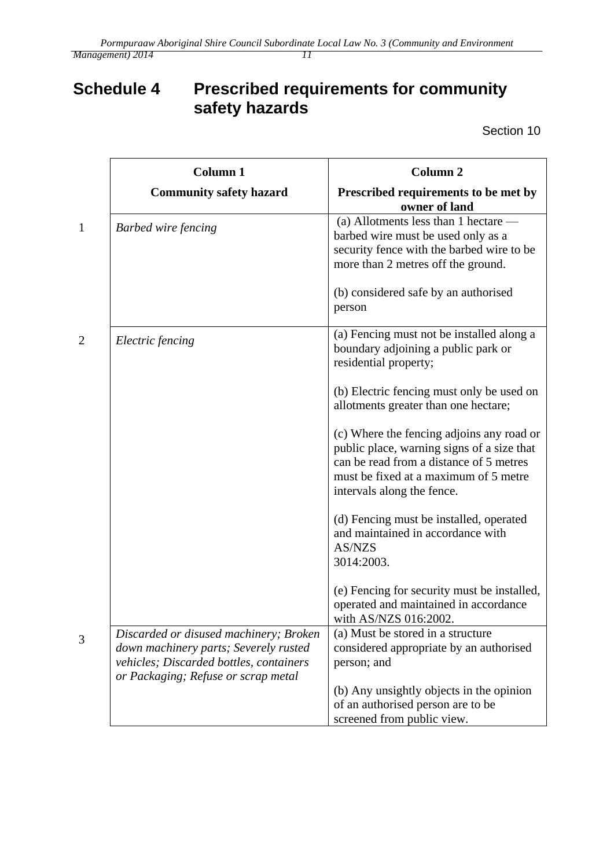# **Schedule 4 Prescribed requirements for community safety hazards**

Section 10

| <b>Column 1</b>                                                                                                                                                   | <b>Column 2</b>                                                                                                                                                                                           |
|-------------------------------------------------------------------------------------------------------------------------------------------------------------------|-----------------------------------------------------------------------------------------------------------------------------------------------------------------------------------------------------------|
| <b>Community safety hazard</b>                                                                                                                                    | Prescribed requirements to be met by<br>owner of land                                                                                                                                                     |
| <b>Barbed wire fencing</b>                                                                                                                                        | (a) Allotments less than 1 hectare $-$<br>barbed wire must be used only as a<br>security fence with the barbed wire to be<br>more than 2 metres off the ground.                                           |
|                                                                                                                                                                   | (b) considered safe by an authorised<br>person                                                                                                                                                            |
| Electric fencing                                                                                                                                                  | (a) Fencing must not be installed along a<br>boundary adjoining a public park or<br>residential property;                                                                                                 |
|                                                                                                                                                                   | (b) Electric fencing must only be used on<br>allotments greater than one hectare;                                                                                                                         |
|                                                                                                                                                                   | (c) Where the fencing adjoins any road or<br>public place, warning signs of a size that<br>can be read from a distance of 5 metres<br>must be fixed at a maximum of 5 metre<br>intervals along the fence. |
|                                                                                                                                                                   | (d) Fencing must be installed, operated<br>and maintained in accordance with<br>AS/NZS<br>3014:2003.                                                                                                      |
|                                                                                                                                                                   | (e) Fencing for security must be installed,<br>operated and maintained in accordance<br>with AS/NZS 016:2002.                                                                                             |
| Discarded or disused machinery; Broken<br>down machinery parts; Severely rusted<br>vehicles; Discarded bottles, containers<br>or Packaging; Refuse or scrap metal | (a) Must be stored in a structure<br>considered appropriate by an authorised<br>person; and                                                                                                               |
|                                                                                                                                                                   | (b) Any unsightly objects in the opinion<br>of an authorised person are to be<br>screened from public view.                                                                                               |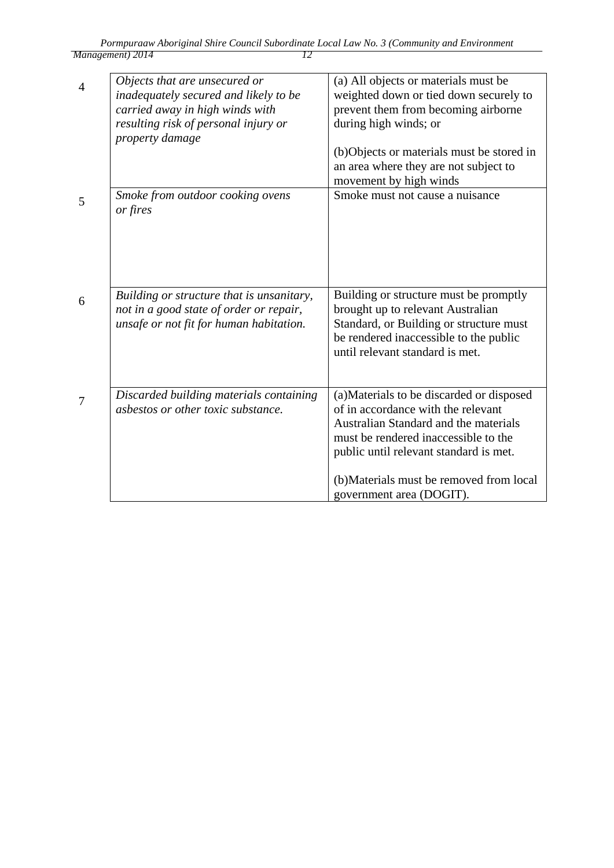| $\overline{A}$ | Objects that are unsecured or<br>inadequately secured and likely to be<br>carried away in high winds with<br>resulting risk of personal injury or<br>property damage | (a) All objects or materials must be<br>weighted down or tied down securely to<br>prevent them from becoming airborne<br>during high winds; or<br>(b)Objects or materials must be stored in<br>an area where they are not subject to                                               |
|----------------|----------------------------------------------------------------------------------------------------------------------------------------------------------------------|------------------------------------------------------------------------------------------------------------------------------------------------------------------------------------------------------------------------------------------------------------------------------------|
|                |                                                                                                                                                                      | movement by high winds                                                                                                                                                                                                                                                             |
| 5              | Smoke from outdoor cooking ovens<br>or fires                                                                                                                         | Smoke must not cause a nuisance                                                                                                                                                                                                                                                    |
| 6              | Building or structure that is unsanitary,<br>not in a good state of order or repair,<br>unsafe or not fit for human habitation.                                      | Building or structure must be promptly<br>brought up to relevant Australian<br>Standard, or Building or structure must<br>be rendered inaccessible to the public<br>until relevant standard is met.                                                                                |
| 7              | Discarded building materials containing<br>asbestos or other toxic substance.                                                                                        | (a) Materials to be discarded or disposed<br>of in accordance with the relevant<br>Australian Standard and the materials<br>must be rendered inaccessible to the<br>public until relevant standard is met.<br>(b) Materials must be removed from local<br>government area (DOGIT). |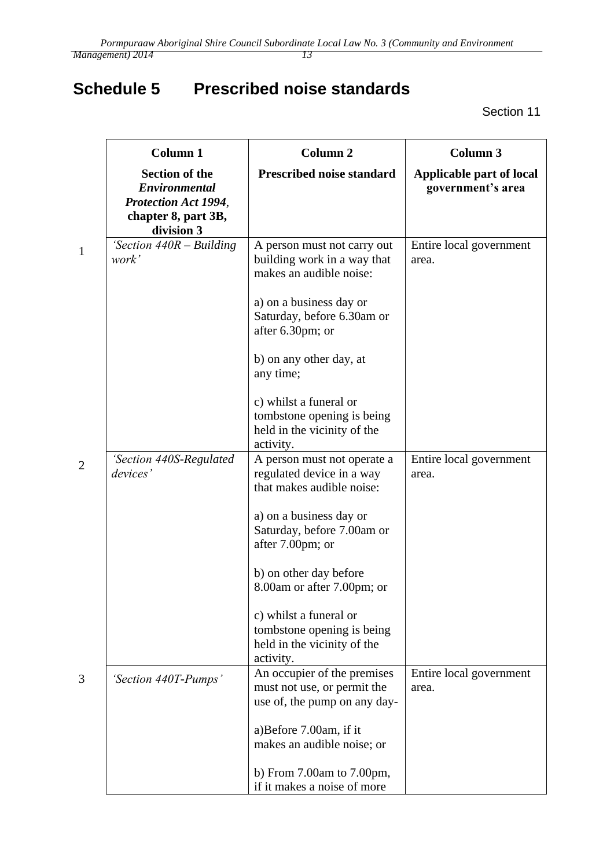# <span id="page-12-0"></span>**Schedule 5 Prescribed noise standards**

Section 11

| <b>Column 1</b>                                                                                            | <b>Column 2</b>                                                                                                                                                                                                                                                                                                                             | <b>Column 3</b>                               |
|------------------------------------------------------------------------------------------------------------|---------------------------------------------------------------------------------------------------------------------------------------------------------------------------------------------------------------------------------------------------------------------------------------------------------------------------------------------|-----------------------------------------------|
| <b>Section of the</b><br>Environmental<br><b>Protection Act 1994,</b><br>chapter 8, part 3B,<br>division 3 | Prescribed noise standard                                                                                                                                                                                                                                                                                                                   | Applicable part of local<br>government's area |
| 'Section $440R - Building$<br>work'                                                                        | A person must not carry out<br>building work in a way that<br>makes an audible noise:<br>a) on a business day or<br>Saturday, before 6.30am or<br>after 6.30pm; or<br>b) on any other day, at<br>any time;<br>c) whilst a funeral or<br>tombstone opening is being<br>held in the vicinity of the                                           | Entire local government<br>area.              |
| 'Section 440S-Regulated<br>devices'                                                                        | activity.<br>A person must not operate a<br>regulated device in a way<br>that makes audible noise:<br>a) on a business day or<br>Saturday, before 7.00am or<br>after 7.00pm; or<br>b) on other day before<br>8.00am or after 7.00pm; or<br>c) whilst a funeral or<br>tombstone opening is being<br>held in the vicinity of the<br>activity. | Entire local government<br>area.              |
| 'Section 440T-Pumps'                                                                                       | An occupier of the premises<br>must not use, or permit the<br>use of, the pump on any day-<br>a)Before 7.00am, if it<br>makes an audible noise; or<br>b) From $7.00am$ to $7.00pm$ ,<br>if it makes a noise of more                                                                                                                         | Entire local government<br>area.              |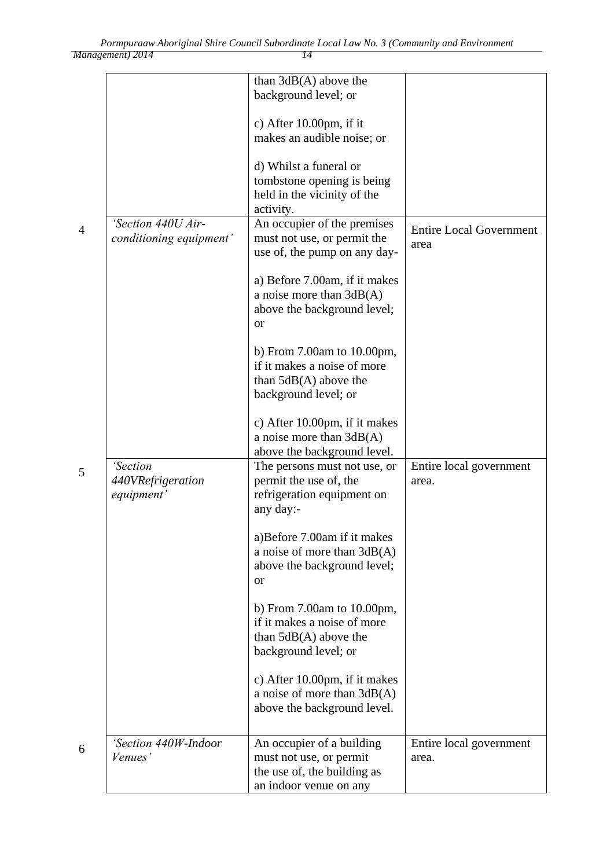|                                               | than $3dB(A)$ above the<br>background level; or                                                                    |                                        |
|-----------------------------------------------|--------------------------------------------------------------------------------------------------------------------|----------------------------------------|
|                                               | c) After $10.00 \text{pm}$ , if it<br>makes an audible noise; or                                                   |                                        |
|                                               | d) Whilst a funeral or<br>tombstone opening is being<br>held in the vicinity of the<br>activity.                   |                                        |
| 'Section 440U Air-<br>conditioning equipment' | An occupier of the premises<br>must not use, or permit the<br>use of, the pump on any day-                         | <b>Entire Local Government</b><br>area |
|                                               | a) Before 7.00am, if it makes<br>a noise more than $3dB(A)$<br>above the background level;<br><b>or</b>            |                                        |
|                                               | b) From $7.00am$ to $10.00pm$ ,<br>if it makes a noise of more<br>than $5dB(A)$ above the<br>background level; or  |                                        |
|                                               | c) After 10.00pm, if it makes<br>a noise more than $3dB(A)$<br>above the background level.                         |                                        |
| 'Section<br>440VRefrigeration<br>equipment'   | The persons must not use, or<br>permit the use of, the<br>refrigeration equipment on<br>any day:-                  | Entire local government<br>area.       |
|                                               | a) Before 7.00am if it makes<br>a noise of more than $3dB(A)$<br>above the background level;<br><b>or</b>          |                                        |
|                                               | b) From $7.00$ am to $10.00$ pm,<br>if it makes a noise of more<br>than $5dB(A)$ above the<br>background level; or |                                        |
|                                               | c) After 10.00pm, if it makes<br>a noise of more than $3dB(A)$<br>above the background level.                      |                                        |
| 'Section 440W-Indoor<br>Venues'               | An occupier of a building<br>must not use, or permit<br>the use of, the building as<br>an indoor venue on any      | Entire local government<br>area.       |

4

5

6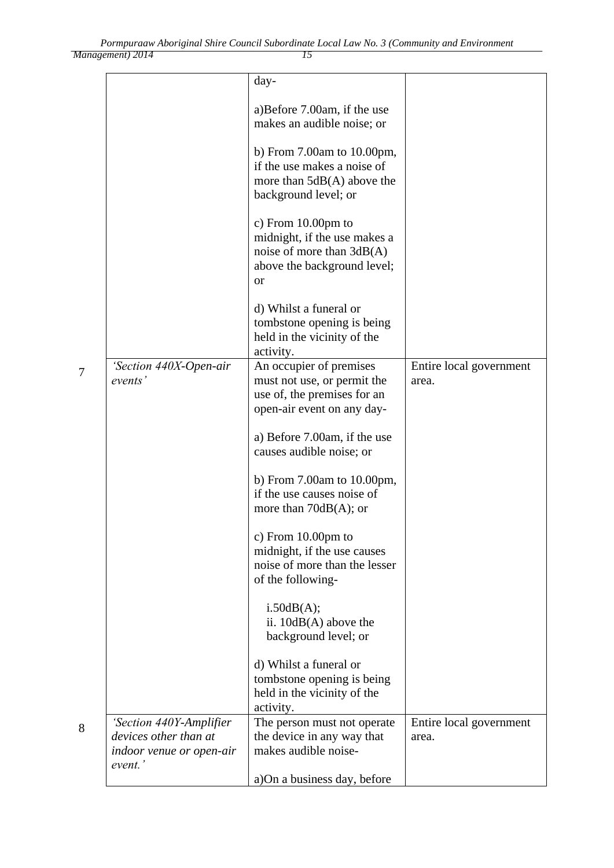*Management) 2014 15*

|                                                                                         | day-                                                                                                                             |                                  |
|-----------------------------------------------------------------------------------------|----------------------------------------------------------------------------------------------------------------------------------|----------------------------------|
|                                                                                         | a)Before 7.00am, if the use<br>makes an audible noise; or                                                                        |                                  |
|                                                                                         | b) From $7.00$ am to $10.00$ pm,<br>if the use makes a noise of<br>more than $5dB(A)$ above the<br>background level; or          |                                  |
|                                                                                         | c) From $10.00$ pm to<br>midnight, if the use makes a<br>noise of more than $3dB(A)$<br>above the background level;<br><b>or</b> |                                  |
|                                                                                         | d) Whilst a funeral or<br>tombstone opening is being<br>held in the vicinity of the<br>activity.                                 |                                  |
| 'Section 440X-Open-air<br>events'                                                       | An occupier of premises<br>must not use, or permit the<br>use of, the premises for an<br>open-air event on any day-              | Entire local government<br>area. |
|                                                                                         | a) Before 7.00am, if the use<br>causes audible noise; or                                                                         |                                  |
|                                                                                         | b) From $7.00$ am to $10.00$ pm,<br>if the use causes noise of<br>more than $70dB(A)$ ; or                                       |                                  |
|                                                                                         | c) From $10.00$ pm to<br>midnight, if the use causes<br>noise of more than the lesser<br>of the following-                       |                                  |
|                                                                                         | i.50dB(A);<br>ii. $10dB(A)$ above the<br>background level; or                                                                    |                                  |
|                                                                                         | d) Whilst a funeral or<br>tombstone opening is being<br>held in the vicinity of the<br>activity.                                 |                                  |
| 'Section 440Y-Amplifier<br>devices other than at<br>indoor venue or open-air<br>event.' | The person must not operate<br>the device in any way that<br>makes audible noise-                                                | Entire local government<br>area. |
|                                                                                         | a)On a business day, before                                                                                                      |                                  |

7

8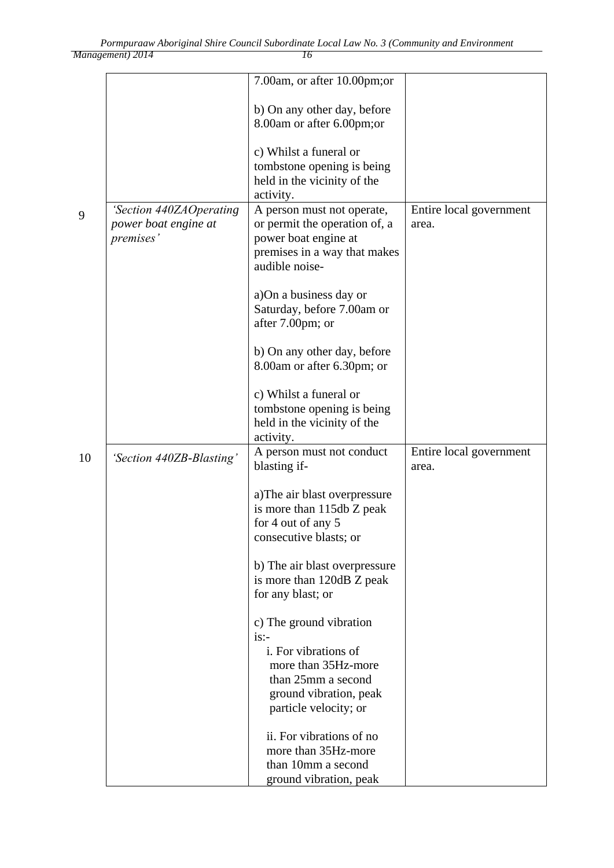| Management) 2014 |  |
|------------------|--|

|    |                                                              | 7.00am, or after 10.00pm;or                                                                                         |                                  |
|----|--------------------------------------------------------------|---------------------------------------------------------------------------------------------------------------------|----------------------------------|
|    |                                                              | b) On any other day, before<br>8.00am or after 6.00pm;or                                                            |                                  |
|    |                                                              | c) Whilst a funeral or                                                                                              |                                  |
|    |                                                              | tombstone opening is being<br>held in the vicinity of the                                                           |                                  |
|    |                                                              | activity.                                                                                                           |                                  |
| 9  | 'Section 440ZAOperating<br>power boat engine at<br>premises' | A person must not operate,<br>or permit the operation of, a<br>power boat engine at<br>premises in a way that makes | Entire local government<br>area. |
|    |                                                              | audible noise-                                                                                                      |                                  |
|    |                                                              | a) On a business day or                                                                                             |                                  |
|    |                                                              | Saturday, before 7.00am or<br>after 7.00pm; or                                                                      |                                  |
|    |                                                              | b) On any other day, before<br>8.00am or after 6.30pm; or                                                           |                                  |
|    |                                                              |                                                                                                                     |                                  |
|    |                                                              | c) Whilst a funeral or<br>tombstone opening is being                                                                |                                  |
|    |                                                              | held in the vicinity of the<br>activity.                                                                            |                                  |
| 10 | 'Section 440ZB-Blasting'                                     | A person must not conduct                                                                                           | Entire local government          |
|    |                                                              | blasting if-                                                                                                        | area.                            |
|    |                                                              | a) The air blast overpressure<br>is more than 115db Z peak                                                          |                                  |
|    |                                                              | for 4 out of any 5                                                                                                  |                                  |
|    |                                                              | consecutive blasts; or                                                                                              |                                  |
|    |                                                              | b) The air blast overpressure                                                                                       |                                  |
|    |                                                              | is more than 120dB Z peak<br>for any blast; or                                                                      |                                  |
|    |                                                              | c) The ground vibration                                                                                             |                                  |
|    |                                                              | is:<br>i. For vibrations of                                                                                         |                                  |
|    |                                                              | more than 35Hz-more                                                                                                 |                                  |
|    |                                                              | than 25mm a second                                                                                                  |                                  |
|    |                                                              | ground vibration, peak<br>particle velocity; or                                                                     |                                  |
|    |                                                              | ii. For vibrations of no                                                                                            |                                  |
|    |                                                              | more than 35Hz-more                                                                                                 |                                  |
|    |                                                              | than 10mm a second<br>ground vibration, peak                                                                        |                                  |